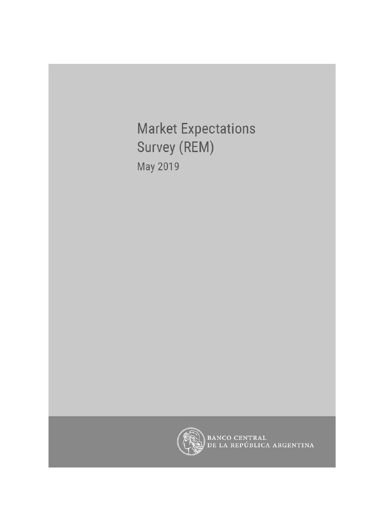**Market Expectations** Survey (REM) May 2019



BANCO CENTRAL<br>DE LA REPÚBLICA ARGENTINA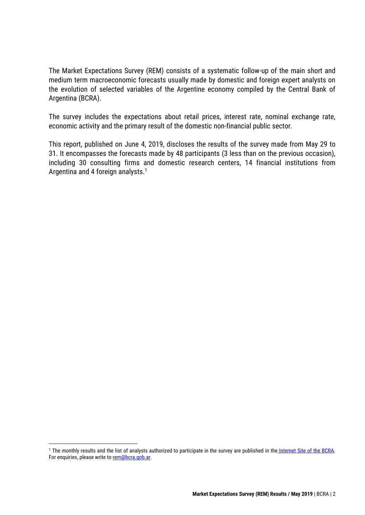The Market Expectations Survey (REM) consists of a systematic follow-up of the main short and medium term macroeconomic forecasts usually made by domestic and foreign expert analysts on the evolution of selected variables of the Argentine economy compiled by the Central Bank of Argentina (BCRA).

The survey includes the expectations about retail prices, interest rate, nominal exchange rate, economic activity and the primary result of the domestic non-financial public sector.

This report, published on June 4, 2019, discloses the results of the survey made from May 29 to 31. It encompasses the forecasts made by 48 participants (3 less than on the previous occasion), including 30 consulting firms and domestic research centers, 14 financial institutions from Argentina and 4 foreign analysts. 1

<sup>&</sup>lt;sup>1</sup> The monthly results and the list of analysts authorized to participate in the survey are published in the [Internet Site of the BCRA.](http://www.bcra.gob.ar/PublicacionesEstadisticas/Relevamiento_Expectativas_de_Mercado.asp) For enquiries, please write to [rem@bcra.gob.ar.](mailto:rem@bcra.gob.ar)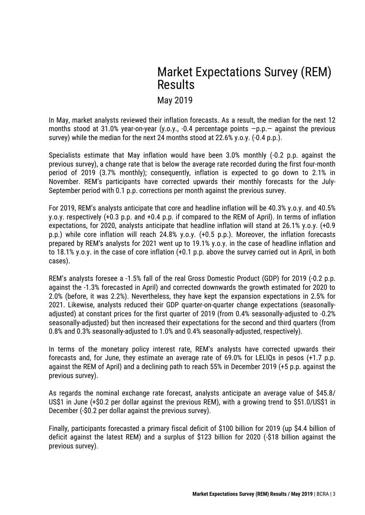# Market Expectations Survey (REM) Results

May 2019

In May, market analysts reviewed their inflation forecasts. As a result, the median for the next 12 months stood at 31.0% year-on-year (y.o.y., -0.4 percentage points  $-p.p.-$  against the previous survey) while the median for the next 24 months stood at 22.6% y.o.y. (-0.4 p.p.).

Specialists estimate that May inflation would have been 3.0% monthly (-0.2 p.p. against the previous survey), a change rate that is below the average rate recorded during the first four-month period of 2019 (3.7% monthly); consequently, inflation is expected to go down to 2.1% in November. REM's participants have corrected upwards their monthly forecasts for the July-September period with 0.1 p.p. corrections per month against the previous survey.

For 2019, REM's analysts anticipate that core and headline inflation will be 40.3% y.o.y. and 40.5% y.o.y. respectively (+0.3 p.p. and +0.4 p.p. if compared to the REM of April). In terms of inflation expectations, for 2020, analysts anticipate that headline inflation will stand at 26.1% y.o.y. (+0.9 p.p.) while core inflation will reach 24.8% y.o.y. (+0.5 p.p.). Moreover, the inflation forecasts prepared by REM's analysts for 2021 went up to 19.1% y.o.y. in the case of headline inflation and to 18.1% y.o.y. in the case of core inflation (+0.1 p.p. above the survey carried out in April, in both cases).

REM's analysts foresee a -1.5% fall of the real Gross Domestic Product (GDP) for 2019 (-0.2 p.p. against the -1.3% forecasted in April) and corrected downwards the growth estimated for 2020 to 2.0% (before, it was 2.2%). Nevertheless, they have kept the expansion expectations in 2.5% for 2021. Likewise, analysts reduced their GDP quarter-on-quarter change expectations (seasonallyadjusted) at constant prices for the first quarter of 2019 (from 0.4% seasonally-adjusted to -0.2% seasonally-adjusted) but then increased their expectations for the second and third quarters (from 0.8% and 0.3% seasonally-adjusted to 1.0% and 0.4% seasonally-adjusted, respectively).

In terms of the monetary policy interest rate, REM's analysts have corrected upwards their forecasts and, for June, they estimate an average rate of 69.0% for LELIQs in pesos (+1.7 p.p. against the REM of April) and a declining path to reach 55% in December 2019 (+5 p.p. against the previous survey).

As regards the nominal exchange rate forecast, analysts anticipate an average value of \$45.8/ US\$1 in June (+\$0.2 per dollar against the previous REM), with a growing trend to \$51.0/US\$1 in December (-\$0.2 per dollar against the previous survey).

Finally, participants forecasted a primary fiscal deficit of \$100 billion for 2019 (up \$4.4 billion of deficit against the latest REM) and a surplus of \$123 billion for 2020 (-\$18 billion against the previous survey).